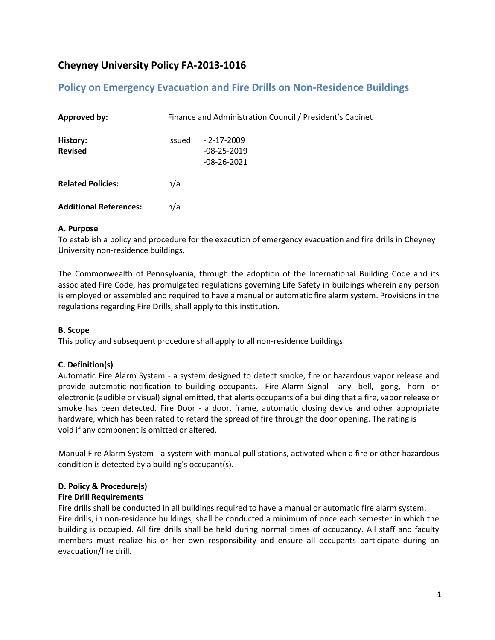# **Cheyney University Policy FA-2013-1016**

## **Policy on Emergency Evacuation and Fire Drills on Non-Residence Buildings**

| <b>Approved by:</b>           | Finance and Administration Council / President's Cabinet |                                                    |
|-------------------------------|----------------------------------------------------------|----------------------------------------------------|
| History:<br><b>Revised</b>    | <b>Issued</b>                                            | $-2 - 17 - 2009$<br>$-08-25-2019$<br>$-08-26-2021$ |
| <b>Related Policies:</b>      | n/a                                                      |                                                    |
| <b>Additional References:</b> | n/a                                                      |                                                    |

#### **A. Purpose**

To establish a policy and procedure for the execution of emergency evacuation and fire drills in Cheyney University non-residence buildings.

The Commonwealth of Pennsylvania, through the adoption of the International Building Code and its associated Fire Code, has promulgated regulations governing Life Safety in buildings wherein any person is employed or assembled and required to have a manual or automatic fire alarm system. Provisions in the regulations regarding Fire Drills, shall apply to this institution.

## **B. Scope**

This policy and subsequent procedure shall apply to all non-residence buildings.

## **C. Definition(s)**

Automatic Fire Alarm System - a system designed to detect smoke, fire or hazardous vapor release and provide automatic notification to building occupants. Fire Alarm Signal - any bell, gong, horn or electronic (audible or visual) signal emitted, that alerts occupants of a building that a fire, vapor release or smoke has been detected. Fire Door - a door, frame, automatic closing device and other appropriate hardware, which has been rated to retard the spread of fire through the door opening. The rating is void if any component is omitted or altered.

Manual Fire Alarm System - a system with manual pull stations, activated when a fire or other hazardous condition is detected by a building's occupant(s).

## **D. Policy & Procedure(s)**

## **Fire Drill Requirements**

Fire drills shall be conducted in all buildings required to have a manual or automatic fire alarm system. Fire drills, in non-residence buildings, shall be conducted a minimum of once each semester in which the building is occupied. All fire drills shall be held during normal times of occupancy. All staff and faculty members must realize his or her own responsibility and ensure all occupants participate during an evacuation/fire drill.